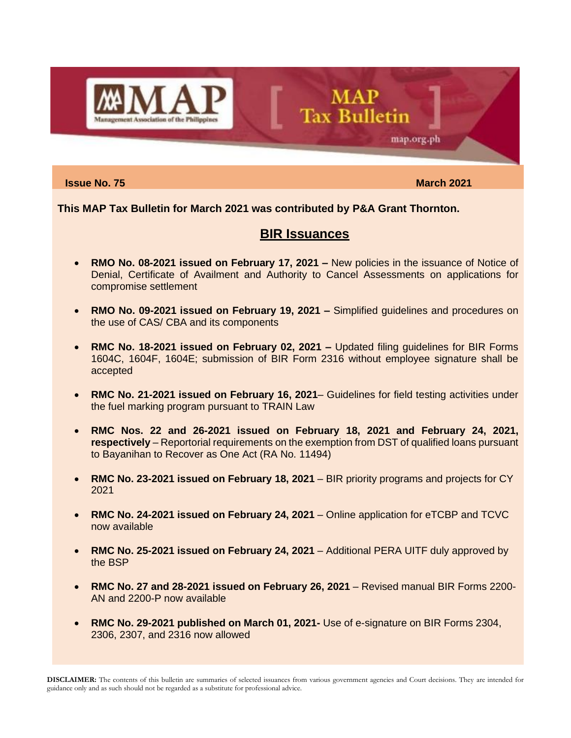

**Issue No. 75** March 2021 **March** 2021

map.org.ph

**This MAP Tax Bulletin for March 2021 was contributed by P&A Grant Thornton.**

### **BIR Issuances**

**MAP** 

**Tax Bulletin** 

- **RMO No. 08-2021 issued on February 17, 2021 –** New policies in the issuance of Notice of Denial, Certificate of Availment and Authority to Cancel Assessments on applications for compromise settlement
- **RMO No. 09-2021 issued on February 19, 2021 –** Simplified guidelines and procedures on the use of CAS/ CBA and its components
- **RMC No. 18-2021 issued on February 02, 2021 –** Updated filing guidelines for BIR Forms 1604C, 1604F, 1604E; submission of BIR Form 2316 without employee signature shall be accepted
- **RMC No. 21-2021 issued on February 16, 2021** Guidelines for field testing activities under the fuel marking program pursuant to TRAIN Law
- **RMC Nos. 22 and 26-2021 issued on February 18, 2021 and February 24, 2021, respectively** – Reportorial requirements on the exemption from DST of qualified loans pursuant to Bayanihan to Recover as One Act (RA No. 11494)
- **RMC No. 23-2021 issued on February 18, 2021** BIR priority programs and projects for CY 2021
- **RMC No. 24-2021 issued on February 24, 2021** Online application for eTCBP and TCVC now available
- **RMC No. 25-2021 issued on February 24, 2021** Additional PERA UITF duly approved by the BSP
- **RMC No. 27 and 28-2021 issued on February 26, 2021** Revised manual BIR Forms 2200- AN and 2200-P now available
- **RMC No. 29-2021 published on March 01, 2021-** Use of e-signature on BIR Forms 2304, 2306, 2307, and 2316 now allowed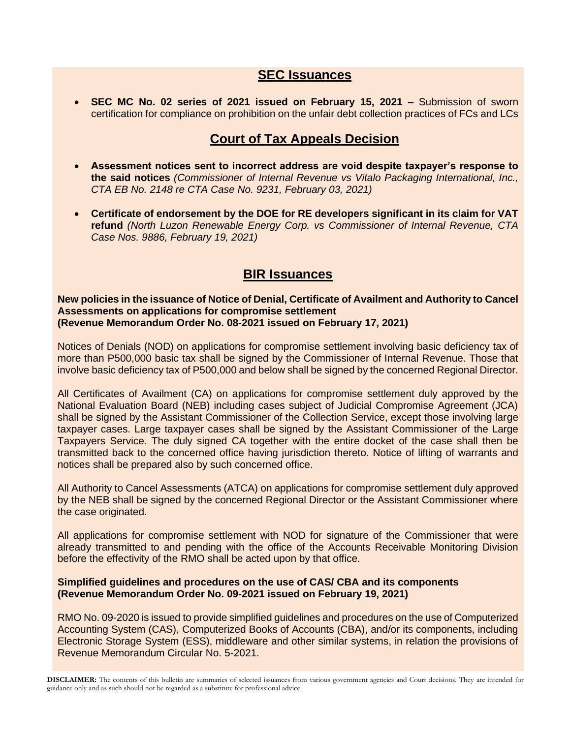### **SEC Issuances**

• **SEC MC No. 02 series of 2021 issued on February 15, 2021 –** Submission of sworn certification for compliance on prohibition on the unfair debt collection practices of FCs and LCs

## **Court of Tax Appeals Decision**

- **Assessment notices sent to incorrect address are void despite taxpayer's response to the said notices** *(Commissioner of Internal Revenue vs Vitalo Packaging International, Inc., CTA EB No. 2148 re CTA Case No. 9231, February 03, 2021)*
- **Certificate of endorsement by the DOE for RE developers significant in its claim for VAT refund** *(North Luzon Renewable Energy Corp. vs Commissioner of Internal Revenue, CTA Case Nos. 9886, February 19, 2021)*

## **BIR Issuances**

#### **New policies in the issuance of Notice of Denial, Certificate of Availment and Authority to Cancel Assessments on applications for compromise settlement (Revenue Memorandum Order No. 08-2021 issued on February 17, 2021)**

Notices of Denials (NOD) on applications for compromise settlement involving basic deficiency tax of more than P500,000 basic tax shall be signed by the Commissioner of Internal Revenue. Those that involve basic deficiency tax of P500,000 and below shall be signed by the concerned Regional Director.

All Certificates of Availment (CA) on applications for compromise settlement duly approved by the National Evaluation Board (NEB) including cases subject of Judicial Compromise Agreement (JCA) shall be signed by the Assistant Commissioner of the Collection Service, except those involving large taxpayer cases. Large taxpayer cases shall be signed by the Assistant Commissioner of the Large Taxpayers Service. The duly signed CA together with the entire docket of the case shall then be transmitted back to the concerned office having jurisdiction thereto. Notice of lifting of warrants and notices shall be prepared also by such concerned office.

All Authority to Cancel Assessments (ATCA) on applications for compromise settlement duly approved by the NEB shall be signed by the concerned Regional Director or the Assistant Commissioner where the case originated.

All applications for compromise settlement with NOD for signature of the Commissioner that were already transmitted to and pending with the office of the Accounts Receivable Monitoring Division before the effectivity of the RMO shall be acted upon by that office.

#### **Simplified guidelines and procedures on the use of CAS/ CBA and its components (Revenue Memorandum Order No. 09-2021 issued on February 19, 2021)**

RMO No. 09-2020 is issued to provide simplified guidelines and procedures on the use of Computerized Accounting System (CAS), Computerized Books of Accounts (CBA), and/or its components, including Electronic Storage System (ESS), middleware and other similar systems, in relation the provisions of Revenue Memorandum Circular No. 5-2021.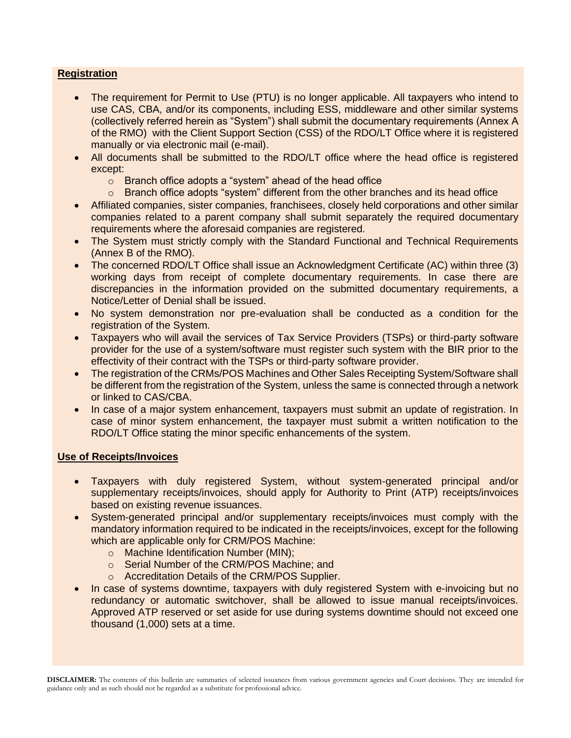#### **Registration**

- The requirement for Permit to Use (PTU) is no longer applicable. All taxpayers who intend to use CAS, CBA, and/or its components, including ESS, middleware and other similar systems (collectively referred herein as "System") shall submit the documentary requirements (Annex A of the RMO) with the Client Support Section (CSS) of the RDO/LT Office where it is registered manually or via electronic mail (e-mail).
- All documents shall be submitted to the RDO/LT office where the head office is registered except:
	- o Branch office adopts a "system" ahead of the head office
	- $\circ$  Branch office adopts "system" different from the other branches and its head office
- Affiliated companies, sister companies, franchisees, closely held corporations and other similar companies related to a parent company shall submit separately the required documentary requirements where the aforesaid companies are registered.
- The System must strictly comply with the Standard Functional and Technical Requirements (Annex B of the RMO).
- The concerned RDO/LT Office shall issue an Acknowledgment Certificate (AC) within three (3) working days from receipt of complete documentary requirements. In case there are discrepancies in the information provided on the submitted documentary requirements, a Notice/Letter of Denial shall be issued.
- No system demonstration nor pre-evaluation shall be conducted as a condition for the registration of the System.
- Taxpayers who will avail the services of Tax Service Providers (TSPs) or third-party software provider for the use of a system/software must register such system with the BIR prior to the effectivity of their contract with the TSPs or third-party software provider.
- The registration of the CRMs/POS Machines and Other Sales Receipting System/Software shall be different from the registration of the System, unless the same is connected through a network or linked to CAS/CBA.
- In case of a major system enhancement, taxpayers must submit an update of registration. In case of minor system enhancement, the taxpayer must submit a written notification to the RDO/LT Office stating the minor specific enhancements of the system.

#### **Use of Receipts/Invoices**

- Taxpayers with duly registered System, without system-generated principal and/or supplementary receipts/invoices, should apply for Authority to Print (ATP) receipts/invoices based on existing revenue issuances.
- System-generated principal and/or supplementary receipts/invoices must comply with the mandatory information required to be indicated in the receipts/invoices, except for the following which are applicable only for CRM/POS Machine:
	- o Machine Identification Number (MIN);
	- o Serial Number of the CRM/POS Machine; and
	- o Accreditation Details of the CRM/POS Supplier.
- In case of systems downtime, taxpayers with duly registered System with e-invoicing but no redundancy or automatic switchover, shall be allowed to issue manual receipts/invoices. Approved ATP reserved or set aside for use during systems downtime should not exceed one thousand (1,000) sets at a time.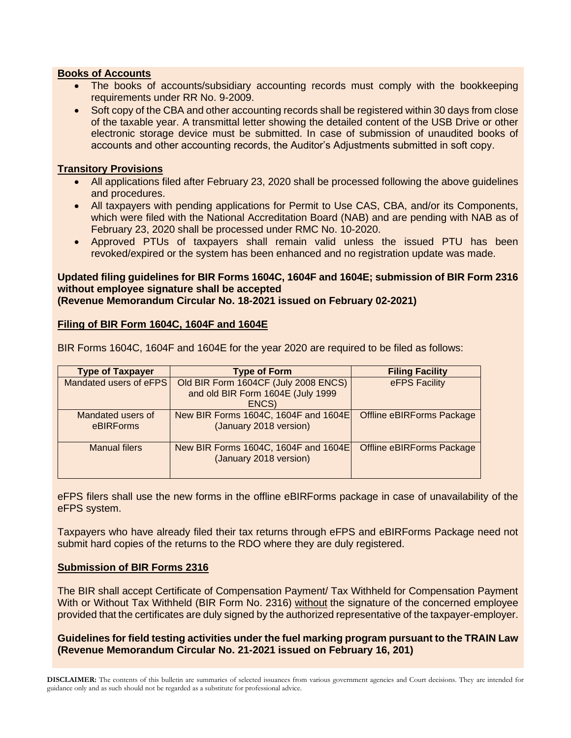#### **Books of Accounts**

- The books of accounts/subsidiary accounting records must comply with the bookkeeping requirements under RR No. 9-2009.
- Soft copy of the CBA and other accounting records shall be registered within 30 days from close of the taxable year. A transmittal letter showing the detailed content of the USB Drive or other electronic storage device must be submitted. In case of submission of unaudited books of accounts and other accounting records, the Auditor's Adjustments submitted in soft copy.

#### **Transitory Provisions**

- All applications filed after February 23, 2020 shall be processed following the above guidelines and procedures.
- All taxpayers with pending applications for Permit to Use CAS, CBA, and/or its Components, which were filed with the National Accreditation Board (NAB) and are pending with NAB as of February 23, 2020 shall be processed under RMC No. 10-2020.
- Approved PTUs of taxpayers shall remain valid unless the issued PTU has been revoked/expired or the system has been enhanced and no registration update was made.

### **Updated filing guidelines for BIR Forms 1604C, 1604F and 1604E; submission of BIR Form 2316 without employee signature shall be accepted**

**(Revenue Memorandum Circular No. 18-2021 issued on February 02-2021)**

#### **Filing of BIR Form 1604C, 1604F and 1604E**

BIR Forms 1604C, 1604F and 1604E for the year 2020 are required to be filed as follows:

| <b>Type of Taxpayer</b> | <b>Type of Form</b>                  | <b>Filing Facility</b>           |  |  |
|-------------------------|--------------------------------------|----------------------------------|--|--|
| Mandated users of eFPS  | Old BIR Form 1604CF (July 2008 ENCS) | eFPS Facility                    |  |  |
|                         | and old BIR Form 1604E (July 1999    |                                  |  |  |
|                         | ENCS)                                |                                  |  |  |
| Mandated users of       | New BIR Forms 1604C, 1604F and 1604E | <b>Offline eBIRForms Package</b> |  |  |
| eBIRForms               | (January 2018 version)               |                                  |  |  |
| Manual filers           | New BIR Forms 1604C, 1604F and 1604E | <b>Offline eBIRForms Package</b> |  |  |
|                         | (January 2018 version)               |                                  |  |  |
|                         |                                      |                                  |  |  |

eFPS filers shall use the new forms in the offline eBIRForms package in case of unavailability of the eFPS system.

Taxpayers who have already filed their tax returns through eFPS and eBIRForms Package need not submit hard copies of the returns to the RDO where they are duly registered.

#### **Submission of BIR Forms 2316**

The BIR shall accept Certificate of Compensation Payment/ Tax Withheld for Compensation Payment With or Without Tax Withheld (BIR Form No. 2316) without the signature of the concerned employee provided that the certificates are duly signed by the authorized representative of the taxpayer-employer.

#### **Guidelines for field testing activities under the fuel marking program pursuant to the TRAIN Law (Revenue Memorandum Circular No. 21-2021 issued on February 16, 201)**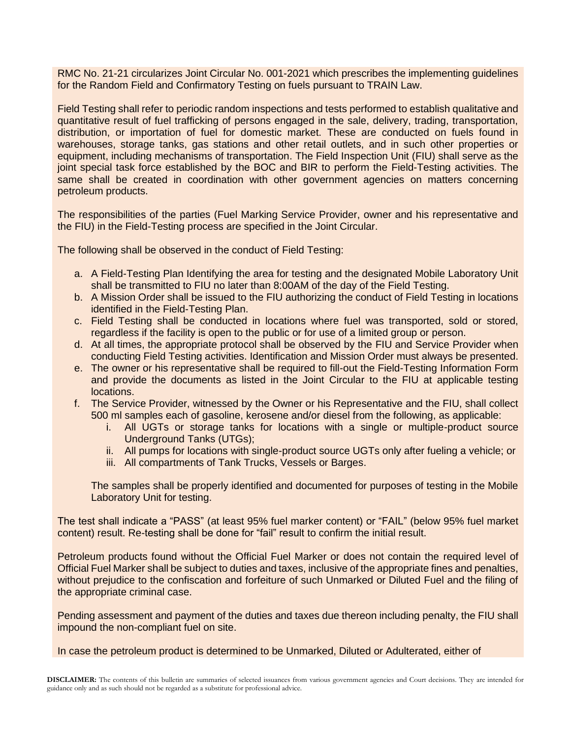RMC No. 21-21 circularizes Joint Circular No. 001-2021 which prescribes the implementing guidelines for the Random Field and Confirmatory Testing on fuels pursuant to TRAIN Law.

Field Testing shall refer to periodic random inspections and tests performed to establish qualitative and quantitative result of fuel trafficking of persons engaged in the sale, delivery, trading, transportation, distribution, or importation of fuel for domestic market. These are conducted on fuels found in warehouses, storage tanks, gas stations and other retail outlets, and in such other properties or equipment, including mechanisms of transportation. The Field Inspection Unit (FIU) shall serve as the joint special task force established by the BOC and BIR to perform the Field-Testing activities. The same shall be created in coordination with other government agencies on matters concerning petroleum products.

The responsibilities of the parties (Fuel Marking Service Provider, owner and his representative and the FIU) in the Field-Testing process are specified in the Joint Circular.

The following shall be observed in the conduct of Field Testing:

- a. A Field-Testing Plan Identifying the area for testing and the designated Mobile Laboratory Unit shall be transmitted to FIU no later than 8:00AM of the day of the Field Testing.
- b. A Mission Order shall be issued to the FIU authorizing the conduct of Field Testing in locations identified in the Field-Testing Plan.
- c. Field Testing shall be conducted in locations where fuel was transported, sold or stored, regardless if the facility is open to the public or for use of a limited group or person.
- d. At all times, the appropriate protocol shall be observed by the FIU and Service Provider when conducting Field Testing activities. Identification and Mission Order must always be presented.
- e. The owner or his representative shall be required to fill-out the Field-Testing Information Form and provide the documents as listed in the Joint Circular to the FIU at applicable testing locations.
- f. The Service Provider, witnessed by the Owner or his Representative and the FIU, shall collect 500 ml samples each of gasoline, kerosene and/or diesel from the following, as applicable:
	- i. All UGTs or storage tanks for locations with a single or multiple-product source Underground Tanks (UTGs);
	- ii. All pumps for locations with single-product source UGTs only after fueling a vehicle; or
	- iii. All compartments of Tank Trucks, Vessels or Barges.

The samples shall be properly identified and documented for purposes of testing in the Mobile Laboratory Unit for testing.

The test shall indicate a "PASS" (at least 95% fuel marker content) or "FAIL" (below 95% fuel market content) result. Re-testing shall be done for "fail" result to confirm the initial result.

Petroleum products found without the Official Fuel Marker or does not contain the required level of Official Fuel Marker shall be subject to duties and taxes, inclusive of the appropriate fines and penalties, without prejudice to the confiscation and forfeiture of such Unmarked or Diluted Fuel and the filing of the appropriate criminal case.

Pending assessment and payment of the duties and taxes due thereon including penalty, the FIU shall impound the non-compliant fuel on site.

In case the petroleum product is determined to be Unmarked, Diluted or Adulterated, either of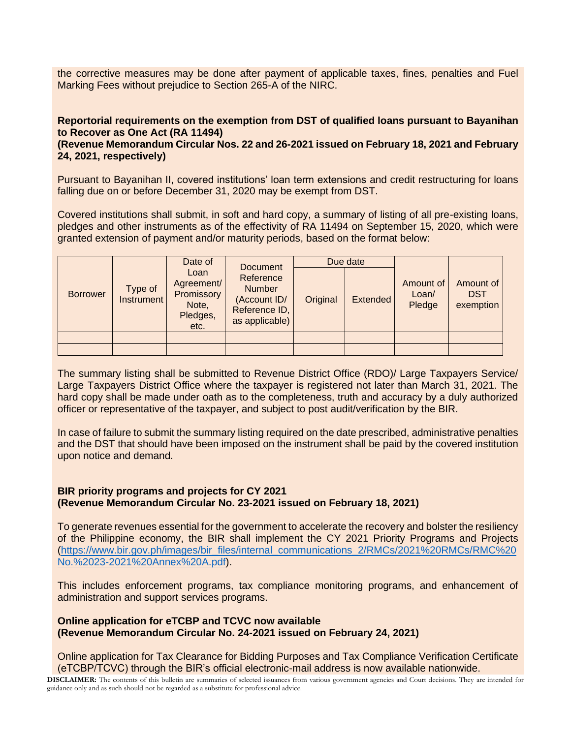the corrective measures may be done after payment of applicable taxes, fines, penalties and Fuel Marking Fees without prejudice to Section 265-A of the NIRC.

#### **Reportorial requirements on the exemption from DST of qualified loans pursuant to Bayanihan to Recover as One Act (RA 11494)**

#### **(Revenue Memorandum Circular Nos. 22 and 26-2021 issued on February 18, 2021 and February 24, 2021, respectively)**

Pursuant to Bayanihan II, covered institutions' loan term extensions and credit restructuring for loans falling due on or before December 31, 2020 may be exempt from DST.

Covered institutions shall submit, in soft and hard copy, a summary of listing of all pre-existing loans, pledges and other instruments as of the effectivity of RA 11494 on September 15, 2020, which were granted extension of payment and/or maturity periods, based on the format below:

|                 |                              | Date of                                                       | <b>Document</b><br>Reference<br><b>Number</b><br>(Account ID/<br>Reference ID,<br>as applicable) | Due date |                 |                              |                                      |
|-----------------|------------------------------|---------------------------------------------------------------|--------------------------------------------------------------------------------------------------|----------|-----------------|------------------------------|--------------------------------------|
| <b>Borrower</b> | Type of<br><b>Instrument</b> | Loan<br>Agreement/<br>Promissory<br>Note,<br>Pledges,<br>etc. |                                                                                                  | Original | <b>Extended</b> | Amount of<br>Loan/<br>Pledge | Amount of<br><b>DST</b><br>exemption |
|                 |                              |                                                               |                                                                                                  |          |                 |                              |                                      |
|                 |                              |                                                               |                                                                                                  |          |                 |                              |                                      |

The summary listing shall be submitted to Revenue District Office (RDO)/ Large Taxpayers Service/ Large Taxpayers District Office where the taxpayer is registered not later than March 31, 2021. The hard copy shall be made under oath as to the completeness, truth and accuracy by a duly authorized officer or representative of the taxpayer, and subject to post audit/verification by the BIR.

In case of failure to submit the summary listing required on the date prescribed, administrative penalties and the DST that should have been imposed on the instrument shall be paid by the covered institution upon notice and demand.

#### **BIR priority programs and projects for CY 2021 (Revenue Memorandum Circular No. 23-2021 issued on February 18, 2021)**

To generate revenues essential for the government to accelerate the recovery and bolster the resiliency of the Philippine economy, the BIR shall implement the CY 2021 Priority Programs and Projects [\(https://www.bir.gov.ph/images/bir\\_files/internal\\_communications\\_2/RMCs/2021%20RMCs/RMC%20](https://www.bir.gov.ph/images/bir_files/internal_communications_2/RMCs/2021%20RMCs/RMC%20No.%2023-2021%20Annex%20A.pdf) [No.%2023-2021%20Annex%20A.pdf\)](https://www.bir.gov.ph/images/bir_files/internal_communications_2/RMCs/2021%20RMCs/RMC%20No.%2023-2021%20Annex%20A.pdf).

This includes enforcement programs, tax compliance monitoring programs, and enhancement of administration and support services programs.

#### **Online application for eTCBP and TCVC now available (Revenue Memorandum Circular No. 24-2021 issued on February 24, 2021)**

Online application for Tax Clearance for Bidding Purposes and Tax Compliance Verification Certificate (eTCBP/TCVC) through the BIR's official electronic-mail address is now available nationwide.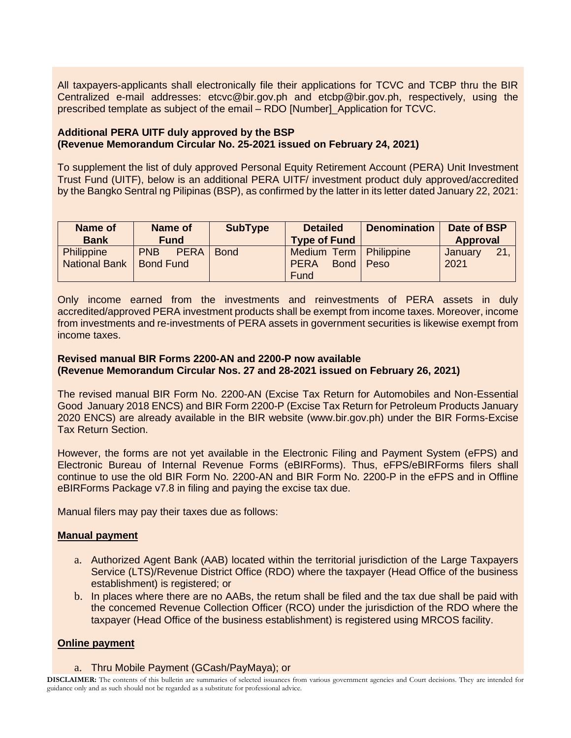All taxpayers-applicants shall electronically file their applications for TCVC and TCBP thru the BIR Centralized e-mail addresses: etcvc@bir.gov.ph and etcbp@bir.gov.ph, respectively, using the prescribed template as subject of the email – RDO [Number]\_Application for TCVC.

#### **Additional PERA UITF duly approved by the BSP (Revenue Memorandum Circular No. 25-2021 issued on February 24, 2021)**

To supplement the list of duly approved Personal Equity Retirement Account (PERA) Unit Investment Trust Fund (UITF), below is an additional PERA UITF/ investment product duly approved/accredited by the Bangko Sentral ng Pilipinas (BSP), as confirmed by the latter in its letter dated January 22, 2021:

| Name of<br><b>Bank</b>             | Name of<br><b>Fund</b>                        | <b>SubType</b> | <b>Detailed</b><br><b>Type of Fund</b>                         | <b>Denomination</b> | Date of BSP<br><b>Approval</b> |
|------------------------------------|-----------------------------------------------|----------------|----------------------------------------------------------------|---------------------|--------------------------------|
| Philippine<br><b>National Bank</b> | <b>PNB</b><br><b>PERA</b><br><b>Bond Fund</b> | <b>Bond</b>    | Medium Term   Philippine<br><b>PERA</b><br><b>Bond</b><br>Fund | Peso                | 21<br>January<br>2021          |

Only income earned from the investments and reinvestments of PERA assets in duly accredited/approved PERA investment products shall be exempt from income taxes. Moreover, income from investments and re-investments of PERA assets in government securities is likewise exempt from income taxes.

#### **Revised manual BIR Forms 2200-AN and 2200-P now available (Revenue Memorandum Circular Nos. 27 and 28-2021 issued on February 26, 2021)**

The revised manual BIR Form No. 2200-AN (Excise Tax Return for Automobiles and Non-Essential Good January 2018 ENCS) and BIR Form 2200-P (Excise Tax Return for Petroleum Products January 2020 ENCS) are already available in the BIR website (www.bir.gov.ph) under the BIR Forms-Excise Tax Return Section.

However, the forms are not yet available in the Electronic Filing and Payment System (eFPS) and Electronic Bureau of Internal Revenue Forms (eBIRForms). Thus, eFPS/eBIRForms filers shall continue to use the old BIR Form No. 2200-AN and BIR Form No. 2200-P in the eFPS and in Offline eBIRForms Package v7.8 in filing and paying the excise tax due.

Manual filers may pay their taxes due as follows:

#### **Manual payment**

- a. Authorized Agent Bank (AAB) located within the territorial jurisdiction of the Large Taxpayers Service (LTS)/Revenue District Office (RDO) where the taxpayer (Head Office of the business establishment) is registered; or
- b. In places where there are no AABs, the retum shall be filed and the tax due shall be paid with the concemed Revenue Collection Officer (RCO) under the jurisdiction of the RDO where the taxpayer (Head Office of the business establishment) is registered using MRCOS facility.

#### **Online payment**

#### a. Thru Mobile Payment (GCash/PayMaya); or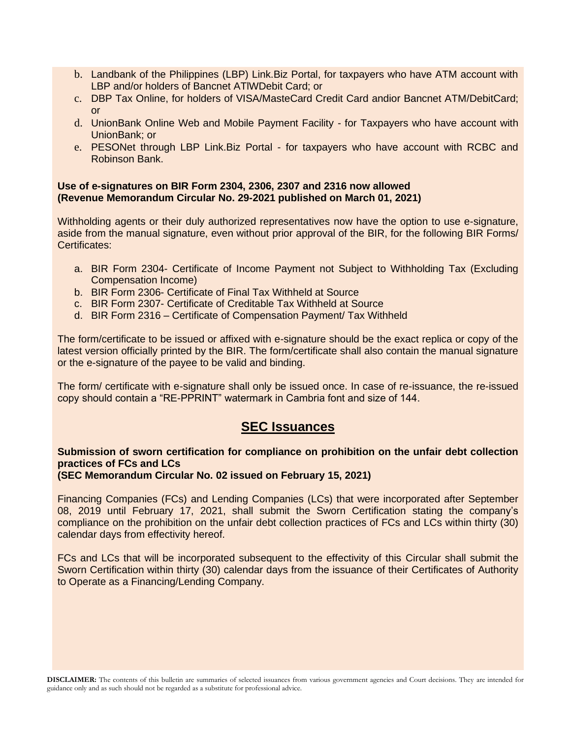- b. Landbank of the Philippines (LBP) Link.Biz Portal, for taxpayers who have ATM account with LBP and/or holders of Bancnet ATlWDebit Card; or
- c. DBP Tax Online, for holders of VISA/MasteCard Credit Card andior Bancnet ATM/DebitCard; or
- d. UnionBank Online Web and Mobile Payment Facility for Taxpayers who have account with UnionBank; or
- e. PESONet through LBP Link.Biz Portal for taxpayers who have account with RCBC and Robinson Bank.

#### **Use of e-signatures on BIR Form 2304, 2306, 2307 and 2316 now allowed (Revenue Memorandum Circular No. 29-2021 published on March 01, 2021)**

Withholding agents or their duly authorized representatives now have the option to use e-signature, aside from the manual signature, even without prior approval of the BIR, for the following BIR Forms/ Certificates:

- a. BIR Form 2304- Certificate of Income Payment not Subject to Withholding Tax (Excluding Compensation Income)
- b. BIR Form 2306- Certificate of Final Tax Withheld at Source
- c. BIR Form 2307- Certificate of Creditable Tax Withheld at Source
- d. BIR Form 2316 Certificate of Compensation Payment/ Tax Withheld

The form/certificate to be issued or affixed with e-signature should be the exact replica or copy of the latest version officially printed by the BIR. The form/certificate shall also contain the manual signature or the e-signature of the payee to be valid and binding.

The form/ certificate with e-signature shall only be issued once. In case of re-issuance, the re-issued copy should contain a "RE-PPRINT" watermark in Cambria font and size of 144.

## **SEC Issuances**

### **Submission of sworn certification for compliance on prohibition on the unfair debt collection practices of FCs and LCs**

#### **(SEC Memorandum Circular No. 02 issued on February 15, 2021)**

Financing Companies (FCs) and Lending Companies (LCs) that were incorporated after September 08, 2019 until February 17, 2021, shall submit the Sworn Certification stating the company's compliance on the prohibition on the unfair debt collection practices of FCs and LCs within thirty (30) calendar days from effectivity hereof.

FCs and LCs that will be incorporated subsequent to the effectivity of this Circular shall submit the Sworn Certification within thirty (30) calendar days from the issuance of their Certificates of Authority to Operate as a Financing/Lending Company.